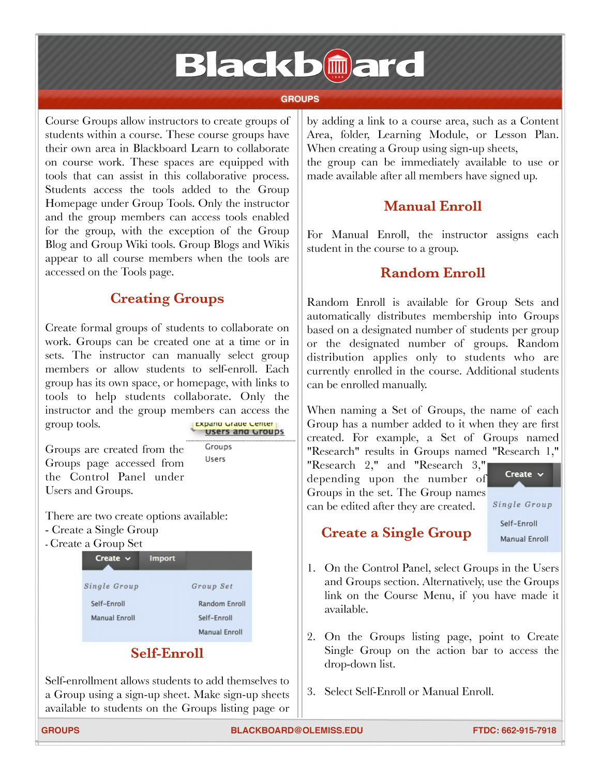# **Blackb@ard**

#### **GROUPS**

Course Groups allow instructors to create groups of students within <sup>a</sup> course. These course groups have their own area in Blackboard Learn to collaborate on course work. These spaces are equipped with tools that can assist in this collaborative process. Students access the tools added to the Group Homepage under Group Tools. Only the instructor and the group members can access tools enabled for the group, with the exception of the Group Blog and Group Wiki tools. Group Blogs and Wikis appear to all course members when the tools are accessed on the Tools page.

#### **Creating Groups**

Create formal groups of students to collaborate on Create formal groups of students to collaborate on<br>work. Groups can be created one at a time or in<br>sets. The instructor can manually select group sets. The instructor can manually select group<br>members or allow students to self-enroll. Each group has its own space, or homepage, with links to tools to help students collaborate. Only the instructor and the group members can access the group tools. The second value Lerter and Groups **11 1 Instructor and the group members can access the group tools.<br><b>• Expand Grade Center** 

**Users** 

Groups are created from the Groups page accessed from the Control Panel under Users and Groups.

There are two create options available:

- [Create](http://library.blackboard.com/ref/3ea64795-6ecc-4abd-b595-0a9a8dfdec94/Content/_instructor_course/instructor_course_groups_create.htm%2523How) a Single Group
- [Create](http://library.blackboard.com/ref/3ea64795-6ecc-4abd-b595-0a9a8dfdec94/Content/_instructor_course/instructor_course_groups_create.htm%2523How2) a Group Set



### **Self-Enroll**

Self-enrollment allows students to add themselves to <sup>a</sup> Group using <sup>a</sup> sign-up sheet. Make sign-up sheets available to students on the Groups listing page or by adding <sup>a</sup> link to <sup>a</sup> course area, such as <sup>a</sup> Content Area, folder, Learning Module, or Lesson Plan. When creating a Group using sign-up sheets, the group can be immediately available to use or made available after all members have signed up.

## **Manual Enroll**

For Manual Enroll, the instructor assigns each student in the course to a group.

#### **Random Enroll**

Random Enroll is available for Group Sets and automatically distributes membership into Groups based on <sup>a</sup> designated number of students per group or the designated number of groups. Random or the designated number of groups. Random<br>distribution applies only to students who are currently enrolled in the course. Additional students can be enrolled manually.

When naming <sup>a</sup> Set of Groups, the name of each Group has <sup>a</sup> number added to it when they are first created. For example, <sup>a</sup> Set of Groups named "Research" results in Groups named "Research 1,"

related. For example, a set of c<br>
"Research" results in Groups named<br>
"Research 2," and "Research 3," Research 2," and "Research 3,"<br>depending upon the number of depending upon the number of<br>Groups in the set. The Group names can be edited after they are created.

**Create •**

*Single Group* **Self—Enroll**

#### **Create a Single Group**

**Manual Enroll**

- 1. On the Control Panel, select Groups in the Users and Groups section. Alternatively, use the Groups link on the Course Menu, if you have made it available.
- 2. On the Groups listing page, point to Create Single Group on the action bar to access the drop-down list.
- 3. Select Self-Enroll or Manual Enroll.